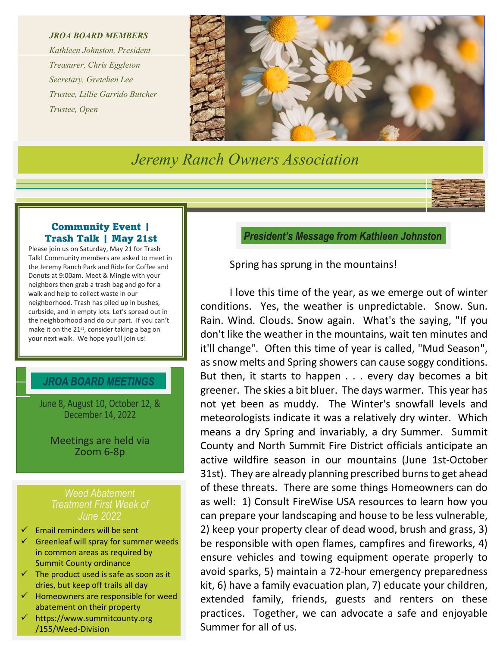*JROA BOARD MEMBERS*

*Kathleen Johnston, President Treasurer, Chris Eggleton Secretary, Gretchen Lee Trustee, Lillie Garrido Butcher Trustee, Open*



*Jeremy Ranch Owners Association*

#### Community Event | Trash Talk | May 21st

Please join us on Saturday, May 21 for Trash Talk! Community members are asked to meet in the Jeremy Ranch Park and Ride for Coffee and Donuts at 9:00am. Meet & Mingle with your neighbors then grab a trash bag and go for a walk and help to collect waste in our neighborhood. Trash has piled up in bushes, curbside, and in empty lots. Let's spread out in the neighborhood and do our part. If you can't make it on the 21st, consider taking a bag on your next walk. We hope you'll join us!

### **JROA BOARD MEETINGS**

June 8, August 10, October 12, & December 14, 2022

Meetings are held via Zoom 6-8p

#### *Weed Abatement Treatment First Week of June 2022*

- Email reminders will be sent
- $\checkmark$  Greenleaf will spray for summer weeds in common areas as required by Summit County ordinance
- $\checkmark$  The product used is safe as soon as it dries, but keep off trails all day
- $\checkmark$  Homeowners are responsible for weed abatement on their property
- https://www.summitcounty.org /155/Weed-Division

**President's Message from Kathleen Johnston** 

Spring has sprung in the mountains!

I love this time of the year, as we emerge out of winter conditions. Yes, the weather is unpredictable. Snow. Sun. Rain. Wind. Clouds. Snow again. What's the saying, "If you don't like the weather in the mountains, wait ten minutes and it'll change". Often this time of year is called, "Mud Season", as snow melts and Spring showers can cause soggy conditions. But then, it starts to happen . . . every day becomes a bit greener. The skies a bit bluer. The days warmer. This year has not yet been as muddy. The Winter's snowfall levels and meteorologists indicate it was a relatively dry winter. Which means a dry Spring and invariably, a dry Summer. Summit County and North Summit Fire District officials anticipate an active wildfire season in our mountains (June 1st-October 31st). They are already planning prescribed burns to get ahead of these threats. There are some things Homeowners can do as well: 1) Consult FireWise USA resources to learn how you can prepare your landscaping and house to be less vulnerable, 2) keep your property clear of dead wood, brush and grass, 3) be responsible with open flames, campfires and fireworks, 4) ensure vehicles and towing equipment operate properly to avoid sparks, 5) maintain a 72-hour emergency preparedness kit, 6) have a family evacuation plan, 7) educate your children, extended family, friends, guests and renters on these practices. Together, we can advocate a safe and enjoyable Summer for all of us.